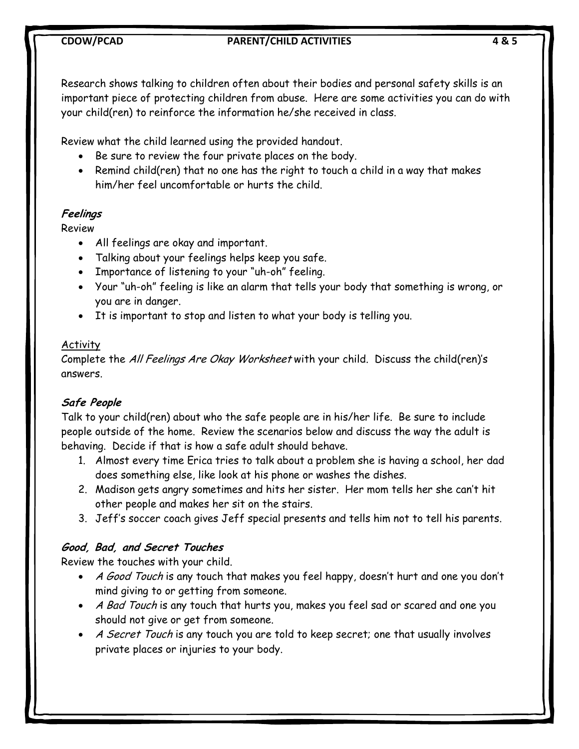## **CDOW/PCAD PARENT/CHILD ACTIVITIES 4 & 5**

Research shows talking to children often about their bodies and personal safety skills is an important piece of protecting children from abuse. Here are some activities you can do with your child(ren) to reinforce the information he/she received in class.

Review what the child learned using the provided handout.

- Be sure to review the four private places on the body.
- Remind child(ren) that no one has the right to touch a child in a way that makes him/her feel uncomfortable or hurts the child.

# **Feelings**

Review

- All feelings are okay and important.
- Talking about your feelings helps keep you safe.
- Importance of listening to your "uh-oh" feeling.
- Your "uh-oh" feeling is like an alarm that tells your body that something is wrong, or you are in danger.
- It is important to stop and listen to what your body is telling you.

# Activity

Complete the All Feelings Are Okay Worksheet with your child. Discuss the child(ren)'s answers.

# **Safe People**

Talk to your child(ren) about who the safe people are in his/her life. Be sure to include people outside of the home. Review the scenarios below and discuss the way the adult is behaving. Decide if that is how a safe adult should behave.

- 1. Almost every time Erica tries to talk about a problem she is having a school, her dad does something else, like look at his phone or washes the dishes.
- 2. Madison gets angry sometimes and hits her sister. Her mom tells her she can't hit other people and makes her sit on the stairs.
- 3. Jeff's soccer coach gives Jeff special presents and tells him not to tell his parents.

# **Good, Bad, and Secret Touches**

Review the touches with your child.

- A Good Touch is any touch that makes you feel happy, doesn't hurt and one you don't mind giving to or getting from someone.
- A Bad Touch is any touch that hurts you, makes you feel sad or scared and one you should not give or get from someone.
- A Secret Touch is any touch you are told to keep secret; one that usually involves private places or injuries to your body.